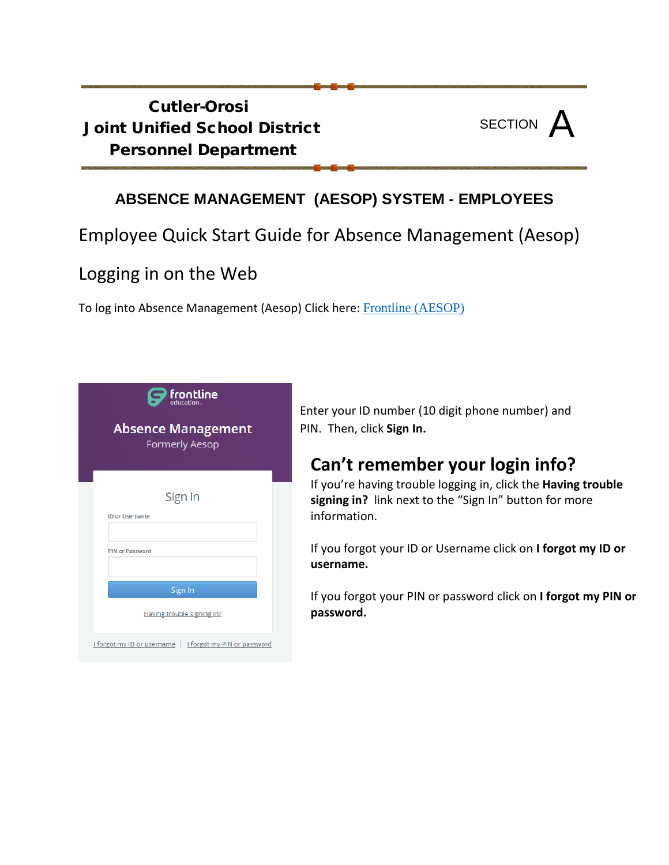### Cutler-Orosi Joint Unified School District Personnel Department



#### **ABSENCE MANAGEMENT (AESOP) SYSTEM - EMPLOYEES**

### Employee Quick Start Guide for Absence Management (Aesop)

### Logging in on the Web

To log into Absence Management (Aesop) Click here: [Frontline \(AESOP\)](https://login.frontlineeducation.com/login?signin=7a8590c964fffe53370def8daeca976e&productId=ABSMGMT&clientId=ABSMGMT#/login)



Enter your ID number (10 digit phone number) and PIN. Then, click **Sign In.**

## **Can't remember your login info?**

If you're having trouble logging in, click the **Having trouble signing in?** link next to the "Sign In" button for more information.

If you forgot your ID or Username click on **I forgot my ID or username.**

If you forgot your PIN or password click on **I forgot my PIN or password.**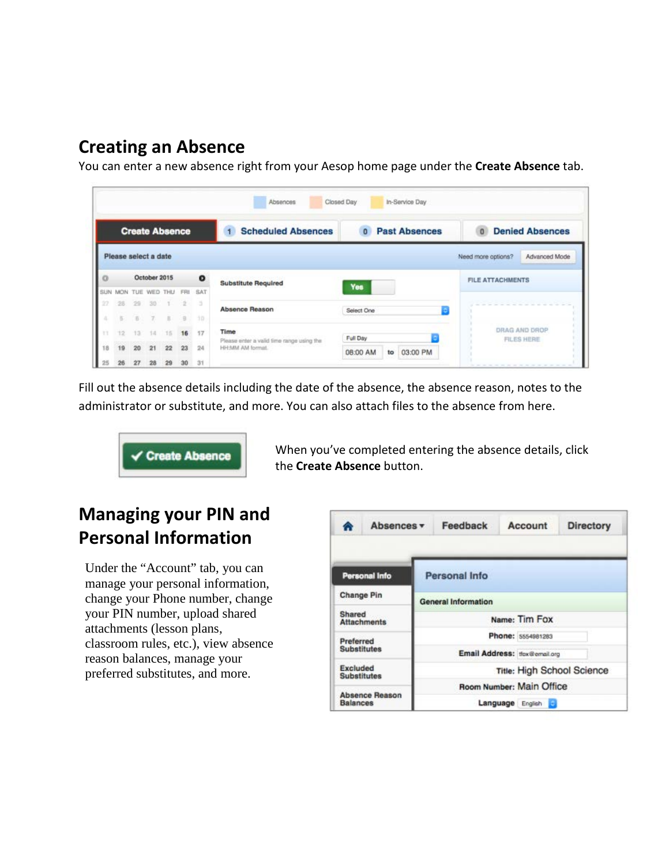### **Creating an Absence**

You can enter a new absence right from your Aesop home page under the **Create Absence** tab.

|          |                |                         |                       |    |          |           | Absences                                          | Closed Day<br>In-Service Day         |                                     |
|----------|----------------|-------------------------|-----------------------|----|----------|-----------|---------------------------------------------------|--------------------------------------|-------------------------------------|
|          |                |                         | <b>Create Absence</b> |    |          |           | <b>Scheduled Absences</b><br>1                    | <b>Past Absences</b><br>$\mathbf{0}$ | <b>Denied Absences</b><br>$\Omega$  |
|          |                |                         | Please select a date  |    |          |           |                                                   |                                      | Advanced Mode<br>Need more options? |
| $\sigma$ |                |                         | October 2015          |    |          | $\bullet$ | <b>Substitute Required</b>                        |                                      | <b>FILE ATTACHMENTS</b>             |
|          | SUN MON        | TUE                     | WED THU               |    | FRI      | SAT       |                                                   | Yes                                  |                                     |
|          | 空兵             | $-90$                   | 30                    |    |          | 15        | <b>Absence Reason</b>                             | Select One                           |                                     |
| a        | $\overline{5}$ | $\overline{\mathbb{B}}$ | Y.                    | ×  | $\alpha$ | $10-$     |                                                   |                                      |                                     |
|          |                |                         | 1.0                   |    | 16       | 17        | Time<br>Please enter a valid time range using the | Full Day                             | DRAG AND DROP<br><b>FILES HERE</b>  |
| 18       | 19             | 20                      | 21                    | 22 | 23       | 24        | HH:MM AM format.                                  | 03:00 PM<br>08:00 AM<br>to           |                                     |
|          |                | 27                      | 28                    | 29 | 30       | 31        |                                                   |                                      |                                     |

Fill out the absence details including the date of the absence, the absence reason, notes to the administrator or substitute, and more. You can also attach files to the absence from here.



When you've completed entering the absence details, click the **Create Absence** button.

# **Managing your PIN and Personal Information**

Under the "Account" tab, you can manage your personal information, change your Phone number, change your PIN number, upload shared attachments (lesson plans, classroom rules, etc.), view absence reason balances, manage your preferred substitutes, and more.

| ◚                                     | Absences v            | Feedback                      | Account           | <b>Directory</b>           |
|---------------------------------------|-----------------------|-------------------------------|-------------------|----------------------------|
|                                       | <b>Personal Info</b>  | <b>Personal Info</b>          |                   |                            |
| <b>Change Pin</b>                     |                       | <b>General Information</b>    |                   |                            |
| Shared                                | <b>Attachments</b>    |                               | Name: Tim Fox     |                            |
| Preferred                             |                       |                               | Phone: 5554981283 |                            |
| <b>Substitutes</b>                    |                       | Email Address: tfox@email.org |                   |                            |
| <b>Excluded</b><br><b>Substitutes</b> |                       |                               |                   | Title: High School Science |
|                                       |                       | Room Number: Main Office      |                   |                            |
| <b>Balances</b>                       | <b>Absence Reason</b> | Language                      | English 3         |                            |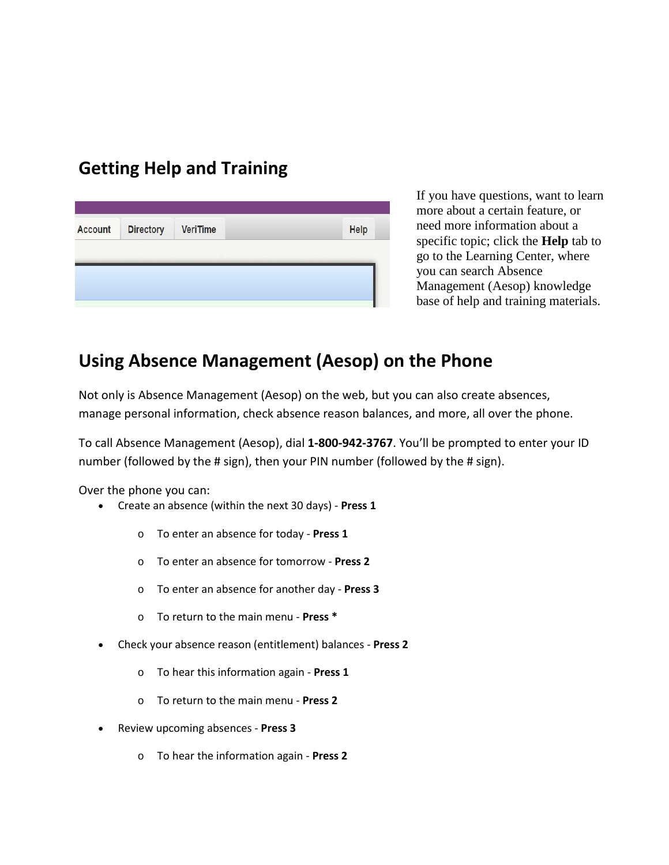### **Getting Help and Training**

|      | <b>Directory</b><br><b>VeriTime</b> |
|------|-------------------------------------|
| Help |                                     |

If you have questions, want to learn more about a certain feature, or need more information about a specific topic; click the **Help** tab to go to the Learning Center, where you can search Absence Management (Aesop) knowledge base of help and training materials.

#### **Using Absence Management (Aesop) on the Phone**

Not only is Absence Management (Aesop) on the web, but you can also create absences, manage personal information, check absence reason balances, and more, all over the phone.

To call Absence Management (Aesop), dial **1-800-942-3767**. You'll be prompted to enter your ID number (followed by the # sign), then your PIN number (followed by the # sign).

Over the phone you can:

- Create an absence (within the next 30 days) **Press 1**
	- o To enter an absence for today **Press 1**
	- o To enter an absence for tomorrow **Press 2**
	- o To enter an absence for another day **Press 3**
	- o To return to the main menu **Press \***
- Check your absence reason (entitlement) balances **Press 2**
	- o To hear this information again **Press 1**
	- o To return to the main menu **Press 2**
- Review upcoming absences **Press 3**
	- o To hear the information again **Press 2**